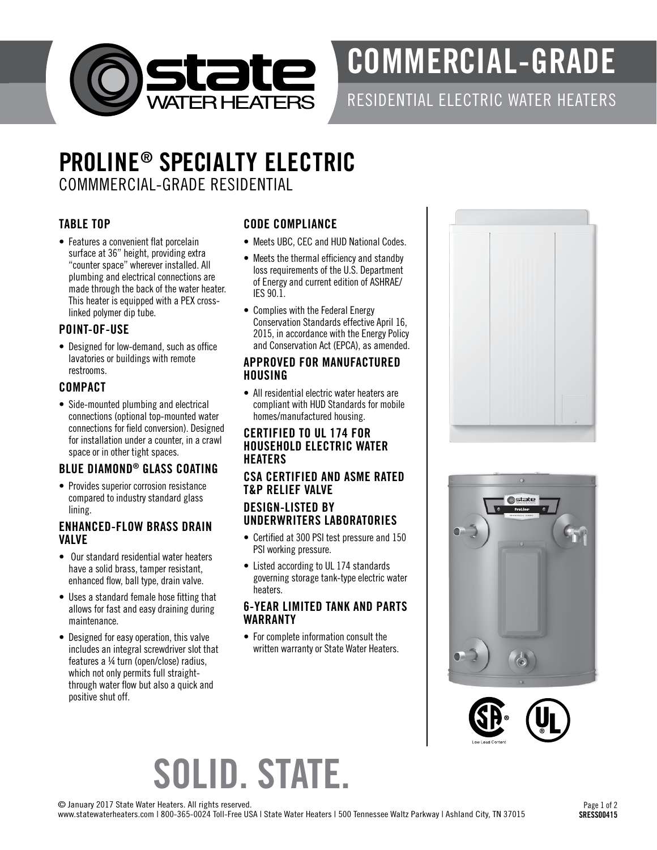

# COMMERCIAL-GRADE

### RESIDENTIAL ELECTRIC WATER HEATERS

## PROLINE® SPECIALTY ELECTRIC COMMMERCIAL-GRADE RESIDENTIAL

### TABLE TOP

• Features a convenient flat porcelain surface at 36" height, providing extra "counter space" wherever installed. All plumbing and electrical connections are made through the back of the water heater. This heater is equipped with a PEX crosslinked polymer dip tube.

#### POINT-OF-USE

• Designed for low-demand, such as office lavatories or buildings with remote restrooms.

#### COMPACT

• Side-mounted plumbing and electrical connections (optional top-mounted water connections for field conversion). Designed for installation under a counter, in a crawl space or in other tight spaces.

#### BLUE DIAMOND® GLASS COATING

• Provides superior corrosion resistance compared to industry standard glass lining.

#### ENHANCED-FLOW BRASS DRAIN VALVE

- Our standard residential water heaters have a solid brass, tamper resistant, enhanced flow, ball type, drain valve.
- Uses a standard female hose fitting that allows for fast and easy draining during maintenance.
- Designed for easy operation, this valve includes an integral screwdriver slot that features a ¼ turn (open/close) radius, which not only permits full straightthrough water flow but also a quick and positive shut off.

#### CODE COMPLIANCE

- Meets UBC, CEC and HUD National Codes.
- Meets the thermal efficiency and standby loss requirements of the U.S. Department of Energy and current edition of ASHRAE/ IES 90.1.
- Complies with the Federal Energy Conservation Standards effective April 16, 2015, in accordance with the Energy Policy and Conservation Act (EPCA), as amended.

#### APPROVED FOR MANUFACTURED HOUSING

• All residential electric water heaters are compliant with HUD Standards for mobile homes/manufactured housing.

#### CERTIFIED TO UL 174 FOR HOUSEHOLD ELECTRIC WATER **HEATERS**

#### CSA CERTIFIED AND ASME RATED T&P RELIEF VALVE

#### DESIGN-LISTED BY UNDERWRITERS LABORATORIES

- Certified at 300 PSI test pressure and 150 PSI working pressure.
- Listed according to UL 174 standards governing storage tank-type electric water heaters.

#### 6-YEAR LIMITED TANK AND PARTS WARRANTY

• For complete information consult the written warranty or State Water Heaters.







# SOLID. STATE.